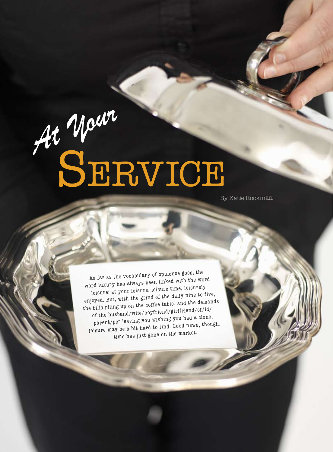## *At Your* SERVICE

By Katie Rockman

As far as the vocabulary of opulence goes, the word luxury has always been linked with the wor<sup>d</sup> leisure: at your leisure, leisure time, leisurely enjoyed. But, with the grind of the daily nine to five, the bills piling up on the coffee table, and the demands of the husband/wife/boyfriend/girlfriend/child/ parent/pet leaving you wishing you had a clone, leisure may be a bit hard to find. Good news, though, time has just gone on the market.